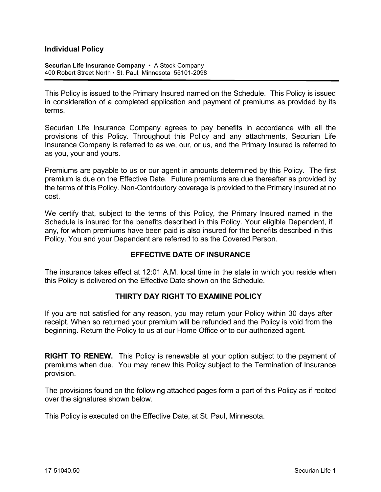## **Individual Policy**

**Securian Life Insurance Company** • A Stock Company 400 Robert Street North • St. Paul, Minnesota 55101-2098

This Policy is issued to the Primary Insured named on the Schedule. This Policy is issued in consideration of a completed application and payment of premiums as provided by its terms.

Securian Life Insurance Company agrees to pay benefits in accordance with all the provisions of this Policy. Throughout this Policy and any attachments, Securian Life Insurance Company is referred to as we, our, or us, and the Primary Insured is referred to as you, your and yours.

Premiums are payable to us or our agent in amounts determined by this Policy. The first premium is due on the Effective Date. Future premiums are due thereafter as provided by the terms of this Policy. Non-Contributory coverage is provided to the Primary Insured at no cost.

We certify that, subject to the terms of this Policy, the Primary Insured named in the Schedule is insured for the benefits described in this Policy. Your eligible Dependent, if any, for whom premiums have been paid is also insured for the benefits described in this Policy. You and your Dependent are referred to as the Covered Person.

#### **EFFECTIVE DATE OF INSURANCE**

The insurance takes effect at 12:01 A.M. local time in the state in which you reside when this Policy is delivered on the Effective Date shown on the Schedule.

#### **THIRTY DAY RIGHT TO EXAMINE POLICY**

If you are not satisfied for any reason, you may return your Policy within 30 days after receipt. When so returned your premium will be refunded and the Policy is void from the beginning. Return the Policy to us at our Home Office or to our authorized agent.

**RIGHT TO RENEW.** This Policy is renewable at your option subject to the payment of premiums when due. You may renew this Policy subject to the Termination of Insurance provision.

The provisions found on the following attached pages form a part of this Policy as if recited over the signatures shown below.

This Policy is executed on the Effective Date, at St. Paul, Minnesota.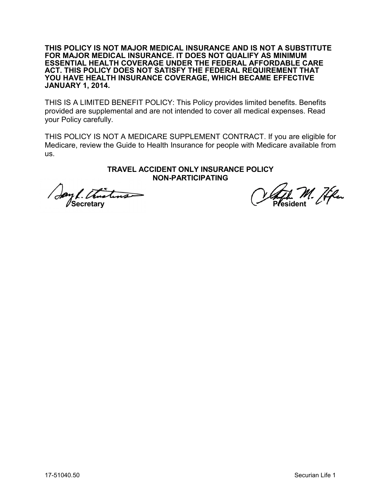**THIS POLICY IS NOT MAJOR MEDICAL INSURANCE AND IS NOT A SUBSTITUTE FOR MAJOR MEDICAL INSURANCE. IT DOES NOT QUALIFY AS MINIMUM ESSENTIAL HEALTH COVERAGE UNDER THE FEDERAL AFFORDABLE CARE ACT. THIS POLICY DOES NOT SATISFY THE FEDERAL REQUIREMENT THAT YOU HAVE HEALTH INSURANCE COVERAGE, WHICH BECAME EFFECTIVE JANUARY 1, 2014.** 

THIS IS A LIMITED BENEFIT POLICY: This Policy provides limited benefits. Benefits provided are supplemental and are not intended to cover all medical expenses. Read your Policy carefully.

THIS POLICY IS NOT A MEDICARE SUPPLEMENT CONTRACT. If you are eligible for Medicare, review the Guide to Health Insurance for people with Medicare available from us.

#### **TRAVEL ACCIDENT ONLY INSURANCE POLICY NON-PARTICIPATING**

Say L. Thistine Secretary W. Head of Secretary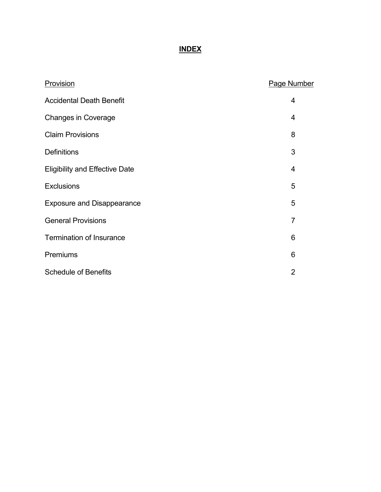# **INDEX**

| Provision                             | <b>Page Number</b> |
|---------------------------------------|--------------------|
| <b>Accidental Death Benefit</b>       | 4                  |
| <b>Changes in Coverage</b>            | $\overline{4}$     |
| <b>Claim Provisions</b>               | 8                  |
| <b>Definitions</b>                    | 3                  |
| <b>Eligibility and Effective Date</b> | 4                  |
| <b>Exclusions</b>                     | 5                  |
| <b>Exposure and Disappearance</b>     | 5                  |
| <b>General Provisions</b>             | $\overline{7}$     |
| <b>Termination of Insurance</b>       | 6                  |
| Premiums                              | 6                  |
| <b>Schedule of Benefits</b>           | $\overline{2}$     |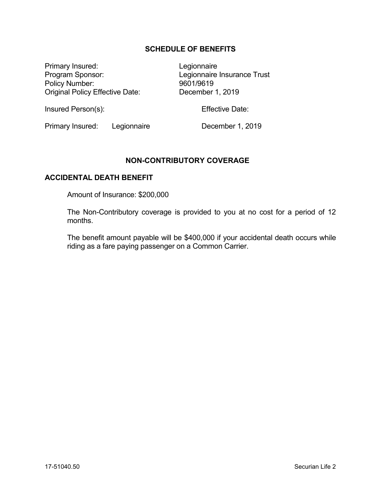## **SCHEDULE OF BENEFITS**

Primary Insured: Legionnaire Program Sponsor:<br>
Policy Number:<br>
Policy Number:<br>
9601/9619 Policy Number: Original Policy Effective Date: December 1, 2019

Insured Person(s): Effective Date:

Primary Insured: Legionnaire December 1, 2019

## **NON-CONTRIBUTORY COVERAGE**

#### **ACCIDENTAL DEATH BENEFIT**

Amount of Insurance: \$200,000

The Non-Contributory coverage is provided to you at no cost for a period of 12 months.

The benefit amount payable will be \$400,000 if your accidental death occurs while riding as a fare paying passenger on a Common Carrier.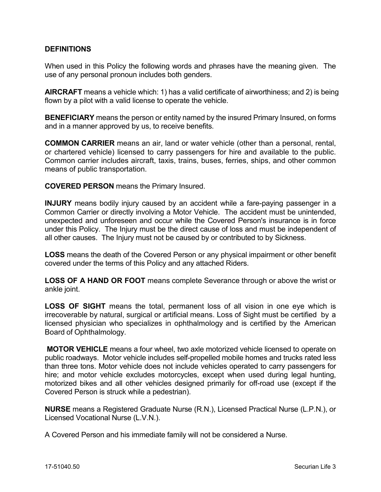## **DEFINITIONS**

When used in this Policy the following words and phrases have the meaning given. The use of any personal pronoun includes both genders.

**AIRCRAFT** means a vehicle which: 1) has a valid certificate of airworthiness; and 2) is being flown by a pilot with a valid license to operate the vehicle.

**BENEFICIARY** means the person or entity named by the insured Primary Insured, on forms and in a manner approved by us, to receive benefits.

**COMMON CARRIER** means an air, land or water vehicle (other than a personal, rental, or chartered vehicle) licensed to carry passengers for hire and available to the public. Common carrier includes aircraft, taxis, trains, buses, ferries, ships, and other common means of public transportation.

**COVERED PERSON** means the Primary Insured.

**INJURY** means bodily injury caused by an accident while a fare-paying passenger in a Common Carrier or directly involving a Motor Vehicle. The accident must be unintended, unexpected and unforeseen and occur while the Covered Person's insurance is in force under this Policy. The Injury must be the direct cause of loss and must be independent of all other causes. The Injury must not be caused by or contributed to by Sickness.

**LOSS** means the death of the Covered Person or any physical impairment or other benefit covered under the terms of this Policy and any attached Riders.

**LOSS OF A HAND OR FOOT** means complete Severance through or above the wrist or ankle joint.

**LOSS OF SIGHT** means the total, permanent loss of all vision in one eye which is irrecoverable by natural, surgical or artificial means. Loss of Sight must be certified by a licensed physician who specializes in ophthalmology and is certified by the American Board of Ophthalmology.

**MOTOR VEHICLE** means a four wheel, two axle motorized vehicle licensed to operate on public roadways. Motor vehicle includes self-propelled mobile homes and trucks rated less than three tons. Motor vehicle does not include vehicles operated to carry passengers for hire; and motor vehicle excludes motorcycles, except when used during legal hunting, motorized bikes and all other vehicles designed primarily for off-road use (except if the Covered Person is struck while a pedestrian).

**NURSE** means a Registered Graduate Nurse (R.N.), Licensed Practical Nurse (L.P.N.), or Licensed Vocational Nurse (L.V.N.).

A Covered Person and his immediate family will not be considered a Nurse.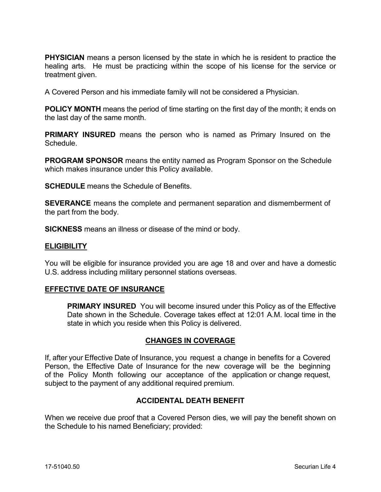**PHYSICIAN** means a person licensed by the state in which he is resident to practice the healing arts. He must be practicing within the scope of his license for the service or treatment given.

A Covered Person and his immediate family will not be considered a Physician.

**POLICY MONTH** means the period of time starting on the first day of the month; it ends on the last day of the same month.

**PRIMARY INSURED** means the person who is named as Primary Insured on the Schedule.

**PROGRAM SPONSOR** means the entity named as Program Sponsor on the Schedule which makes insurance under this Policy available.

**SCHEDULE** means the Schedule of Benefits.

**SEVERANCE** means the complete and permanent separation and dismemberment of the part from the body.

**SICKNESS** means an illness or disease of the mind or body.

#### **ELIGIBILITY**

You will be eligible for insurance provided you are age 18 and over and have a domestic U.S. address including military personnel stations overseas.

#### **EFFECTIVE DATE OF INSURANCE**

**PRIMARY INSURED** You will become insured under this Policy as of the Effective Date shown in the Schedule. Coverage takes effect at 12:01 A.M. local time in the state in which you reside when this Policy is delivered.

#### **CHANGES IN COVERAGE**

If, after your Effective Date of Insurance, you request a change in benefits for a Covered Person, the Effective Date of Insurance for the new coverage will be the beginning of the Policy Month following our acceptance of the application or change request, subject to the payment of any additional required premium.

#### **ACCIDENTAL DEATH BENEFIT**

When we receive due proof that a Covered Person dies, we will pay the benefit shown on the Schedule to his named Beneficiary; provided: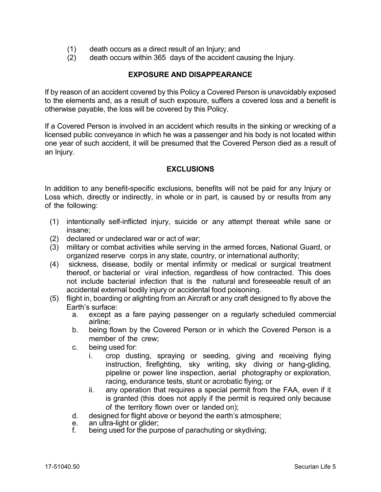- (1) death occurs as a direct result of an Injury; and
- (2) death occurs within 365 days of the accident causing the Injury.

## **EXPOSURE AND DISAPPEARANCE**

If by reason of an accident covered by this Policy a Covered Person is unavoidably exposed to the elements and, as a result of such exposure, suffers a covered loss and a benefit is otherwise payable, the loss will be covered by this Policy.

If a Covered Person is involved in an accident which results in the sinking or wrecking of a licensed public conveyance in which he was a passenger and his body is not located within one year of such accident, it will be presumed that the Covered Person died as a result of an Injury.

## **EXCLUSIONS**

In addition to any benefit-specific exclusions, benefits will not be paid for any Injury or Loss which, directly or indirectly, in whole or in part, is caused by or results from any of the following:

- (1) intentionally self-inflicted injury, suicide or any attempt thereat while sane or insane;
- (2) declared or undeclared war or act of war;
- (3) military or combat activities while serving in the armed forces, National Guard, or organized reserve corps in any state, country, or international authority;
- (4) sickness, disease, bodily or mental infirmity or medical or surgical treatment thereof, or bacterial or viral infection, regardless of how contracted. This does not include bacterial infection that is the natural and foreseeable result of an accidental external bodily injury or accidental food poisoning.
- (5) flight in, boarding or alighting from an Aircraft or any craft designed to fly above the Earth's surface:
	- a. except as a fare paying passenger on a regularly scheduled commercial airline;
	- b. being flown by the Covered Person or in which the Covered Person is a member of the crew;
	- c. being used for:
		- i. crop dusting, spraying or seeding, giving and receiving flying instruction, firefighting, sky writing, sky diving or hang-gliding, pipeline or power line inspection, aerial photography or exploration, racing, endurance tests, stunt or acrobatic flying; or
		- ii. any operation that requires a special permit from the FAA, even if it is granted (this does not apply if the permit is required only because of the territory flown over or landed on);
	- d. designed for flight above or beyond the earth's atmosphere;<br>e. an ultra-light or glider:
	- e. an ultra-light or glider;<br>f. being used for the puri
	- being used for the purpose of parachuting or skydiving;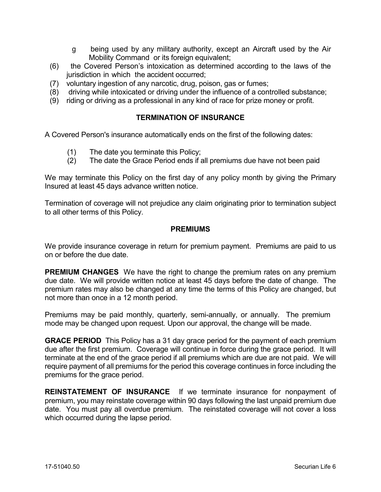- g being used by any military authority, except an Aircraft used by the Air Mobility Command or its foreign equivalent;
- (6) the Covered Person's intoxication as determined according to the laws of the jurisdiction in which the accident occurred;
- (7) voluntary ingestion of any narcotic, drug, poison, gas or fumes;
- (8) driving while intoxicated or driving under the influence of a controlled substance;
- (9) riding or driving as a professional in any kind of race for prize money or profit.

## **TERMINATION OF INSURANCE**

A Covered Person's insurance automatically ends on the first of the following dates:

- (1) The date you terminate this Policy;
- (2) The date the Grace Period ends if all premiums due have not been paid

We may terminate this Policy on the first day of any policy month by giving the Primary Insured at least 45 days advance written notice.

Termination of coverage will not prejudice any claim originating prior to termination subject to all other terms of this Policy.

## **PREMIUMS**

We provide insurance coverage in return for premium payment. Premiums are paid to us on or before the due date.

**PREMIUM CHANGES** We have the right to change the premium rates on any premium due date. We will provide written notice at least 45 days before the date of change. The premium rates may also be changed at any time the terms of this Policy are changed, but not more than once in a 12 month period.

Premiums may be paid monthly, quarterly, semi-annually, or annually. The premium mode may be changed upon request. Upon our approval, the change will be made.

**GRACE PERIOD** This Policy has a 31 day grace period for the payment of each premium due after the first premium. Coverage will continue in force during the grace period. It will terminate at the end of the grace period if all premiums which are due are not paid. We will require payment of all premiums for the period this coverage continues in force including the premiums for the grace period.

**REINSTATEMENT OF INSURANCE** If we terminate insurance for nonpayment of premium, you may reinstate coverage within 90 days following the last unpaid premium due date. You must pay all overdue premium. The reinstated coverage will not cover a loss which occurred during the lapse period.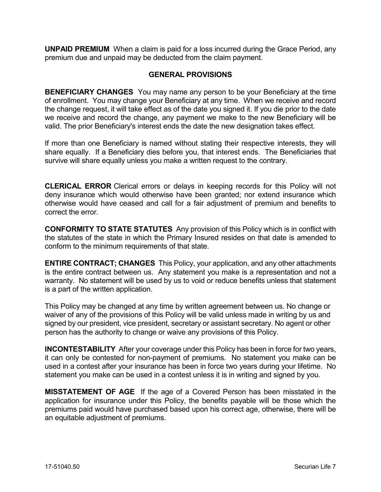**UNPAID PREMIUM** When a claim is paid for a loss incurred during the Grace Period, any premium due and unpaid may be deducted from the claim payment.

## **GENERAL PROVISIONS**

**BENEFICIARY CHANGES** You may name any person to be your Beneficiary at the time of enrollment. You may change your Beneficiary at any time. When we receive and record the change request, it will take effect as of the date you signed it. If you die prior to the date we receive and record the change, any payment we make to the new Beneficiary will be valid. The prior Beneficiary's interest ends the date the new designation takes effect.

If more than one Beneficiary is named without stating their respective interests, they will share equally. If a Beneficiary dies before you, that interest ends. The Beneficiaries that survive will share equally unless you make a written request to the contrary.

**CLERICAL ERROR** Clerical errors or delays in keeping records for this Policy will not deny insurance which would otherwise have been granted; nor extend insurance which otherwise would have ceased and call for a fair adjustment of premium and benefits to correct the error.

**CONFORMITY TO STATE STATUTES** Any provision of this Policy which is in conflict with the statutes of the state in which the Primary Insured resides on that date is amended to conform to the minimum requirements of that state.

**ENTIRE CONTRACT; CHANGES** This Policy, your application, and any other attachments is the entire contract between us. Any statement you make is a representation and not a warranty. No statement will be used by us to void or reduce benefits unless that statement is a part of the written application.

This Policy may be changed at any time by written agreement between us. No change or waiver of any of the provisions of this Policy will be valid unless made in writing by us and signed by our president, vice president, secretary or assistant secretary. No agent or other person has the authority to change or waive any provisions of this Policy.

**INCONTESTABILITY** After your coverage under this Policy has been in force for two years, it can only be contested for non-payment of premiums. No statement you make can be used in a contest after your insurance has been in force two years during your lifetime. No statement you make can be used in a contest unless it is in writing and signed by you.

**MISSTATEMENT OF AGE** If the age of a Covered Person has been misstated in the application for insurance under this Policy, the benefits payable will be those which the premiums paid would have purchased based upon his correct age, otherwise, there will be an equitable adjustment of premiums.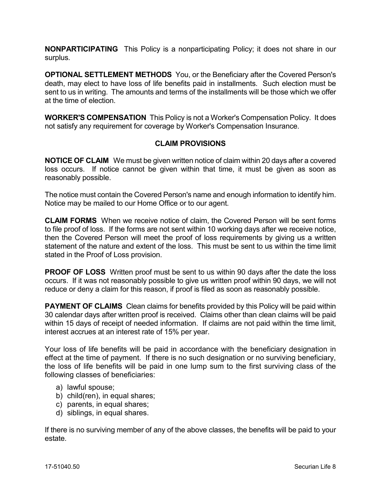**NONPARTICIPATING** This Policy is a nonparticipating Policy; it does not share in our surplus.

**OPTIONAL SETTLEMENT METHODS** You, or the Beneficiary after the Covered Person's death, may elect to have loss of life benefits paid in installments. Such election must be sent to us in writing. The amounts and terms of the installments will be those which we offer at the time of election.

**WORKER'S COMPENSATION** This Policy is not a Worker's Compensation Policy. It does not satisfy any requirement for coverage by Worker's Compensation Insurance.

## **CLAIM PROVISIONS**

**NOTICE OF CLAIM** We must be given written notice of claim within 20 days after a covered loss occurs. If notice cannot be given within that time, it must be given as soon as reasonably possible.

The notice must contain the Covered Person's name and enough information to identify him. Notice may be mailed to our Home Office or to our agent.

**CLAIM FORMS** When we receive notice of claim, the Covered Person will be sent forms to file proof of loss. If the forms are not sent within 10 working days after we receive notice, then the Covered Person will meet the proof of loss requirements by giving us a written statement of the nature and extent of the loss. This must be sent to us within the time limit stated in the Proof of Loss provision.

**PROOF OF LOSS** Written proof must be sent to us within 90 days after the date the loss occurs. If it was not reasonably possible to give us written proof within 90 days, we will not reduce or deny a claim for this reason, if proof is filed as soon as reasonably possible.

**PAYMENT OF CLAIMS** Clean claims for benefits provided by this Policy will be paid within 30 calendar days after written proof is received. Claims other than clean claims will be paid within 15 days of receipt of needed information. If claims are not paid within the time limit, interest accrues at an interest rate of 15% per year.

Your loss of life benefits will be paid in accordance with the beneficiary designation in effect at the time of payment. If there is no such designation or no surviving beneficiary, the loss of life benefits will be paid in one lump sum to the first surviving class of the following classes of beneficiaries:

- a) lawful spouse;
- b) child(ren), in equal shares;
- c) parents, in equal shares;
- d) siblings, in equal shares.

If there is no surviving member of any of the above classes, the benefits will be paid to your estate.